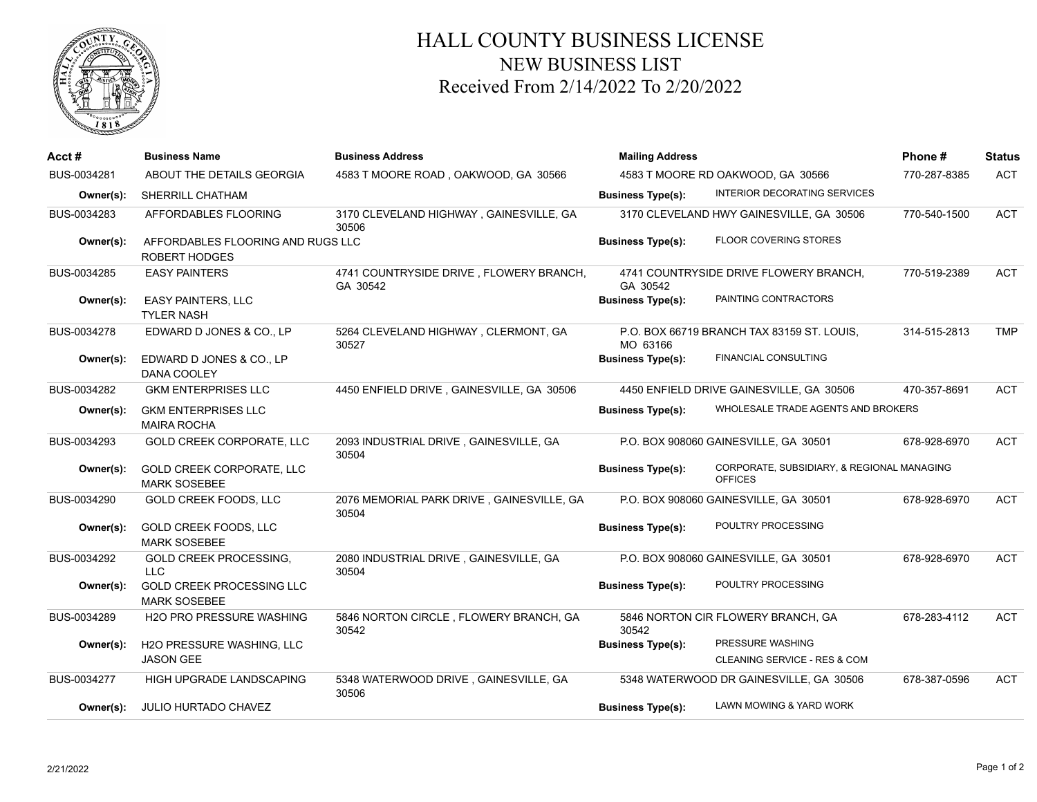

## HALL COUNTY BUSINESS LICENSE NEW BUSINESS LIST Received From 2/14/2022 To 2/20/2022

| Acct#       | <b>Business Name</b>                                      | <b>Business Address</b>                             | <b>Mailing Address</b>            | Phone #                                                      | <b>Status</b> |            |
|-------------|-----------------------------------------------------------|-----------------------------------------------------|-----------------------------------|--------------------------------------------------------------|---------------|------------|
| BUS-0034281 | ABOUT THE DETAILS GEORGIA                                 | 4583 T MOORE ROAD, OAKWOOD, GA 30566                | 4583 T MOORE RD OAKWOOD, GA 30566 | 770-287-8385                                                 | <b>ACT</b>    |            |
| Owner(s):   | <b>SHERRILL CHATHAM</b>                                   |                                                     | <b>Business Type(s):</b>          | INTERIOR DECORATING SERVICES                                 |               |            |
| BUS-0034283 | AFFORDABLES FLOORING                                      | 3170 CLEVELAND HIGHWAY, GAINESVILLE, GA<br>30506    |                                   | 3170 CLEVELAND HWY GAINESVILLE, GA 30506                     | 770-540-1500  | <b>ACT</b> |
| Owner(s):   | AFFORDABLES FLOORING AND RUGS LLC<br><b>ROBERT HODGES</b> |                                                     | <b>Business Type(s):</b>          | <b>FLOOR COVERING STORES</b>                                 |               |            |
| BUS-0034285 | <b>EASY PAINTERS</b>                                      | 4741 COUNTRYSIDE DRIVE, FLOWERY BRANCH,<br>GA 30542 | GA 30542                          | 4741 COUNTRYSIDE DRIVE FLOWERY BRANCH,                       | 770-519-2389  | <b>ACT</b> |
| Owner(s):   | <b>EASY PAINTERS, LLC</b><br><b>TYLER NASH</b>            |                                                     | <b>Business Type(s):</b>          | PAINTING CONTRACTORS                                         |               |            |
| BUS-0034278 | EDWARD D JONES & CO., LP                                  | 5264 CLEVELAND HIGHWAY, CLERMONT, GA<br>30527       | MO 63166                          | P.O. BOX 66719 BRANCH TAX 83159 ST. LOUIS,                   | 314-515-2813  | <b>TMP</b> |
| Owner(s):   | EDWARD D JONES & CO., LP<br>DANA COOLEY                   |                                                     | <b>Business Type(s):</b>          | <b>FINANCIAL CONSULTING</b>                                  |               |            |
| BUS-0034282 | <b>GKM ENTERPRISES LLC</b>                                | 4450 ENFIELD DRIVE, GAINESVILLE, GA 30506           |                                   | 4450 ENFIELD DRIVE GAINESVILLE, GA 30506                     | 470-357-8691  | <b>ACT</b> |
| Owner(s):   | <b>GKM ENTERPRISES LLC</b><br><b>MAIRA ROCHA</b>          |                                                     | <b>Business Type(s):</b>          | WHOLESALE TRADE AGENTS AND BROKERS                           |               |            |
| BUS-0034293 | GOLD CREEK CORPORATE, LLC                                 | 2093 INDUSTRIAL DRIVE, GAINESVILLE, GA<br>30504     |                                   | P.O. BOX 908060 GAINESVILLE, GA 30501                        | 678-928-6970  | <b>ACT</b> |
| Owner(s):   | GOLD CREEK CORPORATE, LLC<br><b>MARK SOSEBEE</b>          |                                                     | <b>Business Type(s):</b>          | CORPORATE, SUBSIDIARY, & REGIONAL MANAGING<br><b>OFFICES</b> |               |            |
| BUS-0034290 | GOLD CREEK FOODS, LLC                                     | 2076 MEMORIAL PARK DRIVE, GAINESVILLE, GA<br>30504  |                                   | P.O. BOX 908060 GAINESVILLE, GA 30501                        | 678-928-6970  | <b>ACT</b> |
| Owner(s):   | GOLD CREEK FOODS, LLC<br><b>MARK SOSEBEE</b>              |                                                     | <b>Business Type(s):</b>          | POULTRY PROCESSING                                           |               |            |
| BUS-0034292 | <b>GOLD CREEK PROCESSING,</b><br><b>LLC</b>               | 2080 INDUSTRIAL DRIVE, GAINESVILLE, GA<br>30504     |                                   | P.O. BOX 908060 GAINESVILLE, GA 30501                        | 678-928-6970  | <b>ACT</b> |
| Owner(s):   | <b>GOLD CREEK PROCESSING LLC</b><br><b>MARK SOSEBEE</b>   |                                                     | <b>Business Type(s):</b>          | POULTRY PROCESSING                                           |               |            |
| BUS-0034289 | <b>H2O PRO PRESSURE WASHING</b>                           | 5846 NORTON CIRCLE, FLOWERY BRANCH, GA<br>30542     | 30542                             | 5846 NORTON CIR FLOWERY BRANCH, GA                           | 678-283-4112  | <b>ACT</b> |
| Owner(s):   | H2O PRESSURE WASHING, LLC<br><b>JASON GEE</b>             |                                                     | <b>Business Type(s):</b>          | PRESSURE WASHING<br>CLEANING SERVICE - RES & COM             |               |            |
| BUS-0034277 | HIGH UPGRADE LANDSCAPING                                  | 5348 WATERWOOD DRIVE, GAINESVILLE, GA<br>30506      |                                   | 5348 WATERWOOD DR GAINESVILLE, GA 30506                      | 678-387-0596  | <b>ACT</b> |
| Owner(s):   | JULIO HURTADO CHAVEZ                                      |                                                     | <b>Business Type(s):</b>          | LAWN MOWING & YARD WORK                                      |               |            |